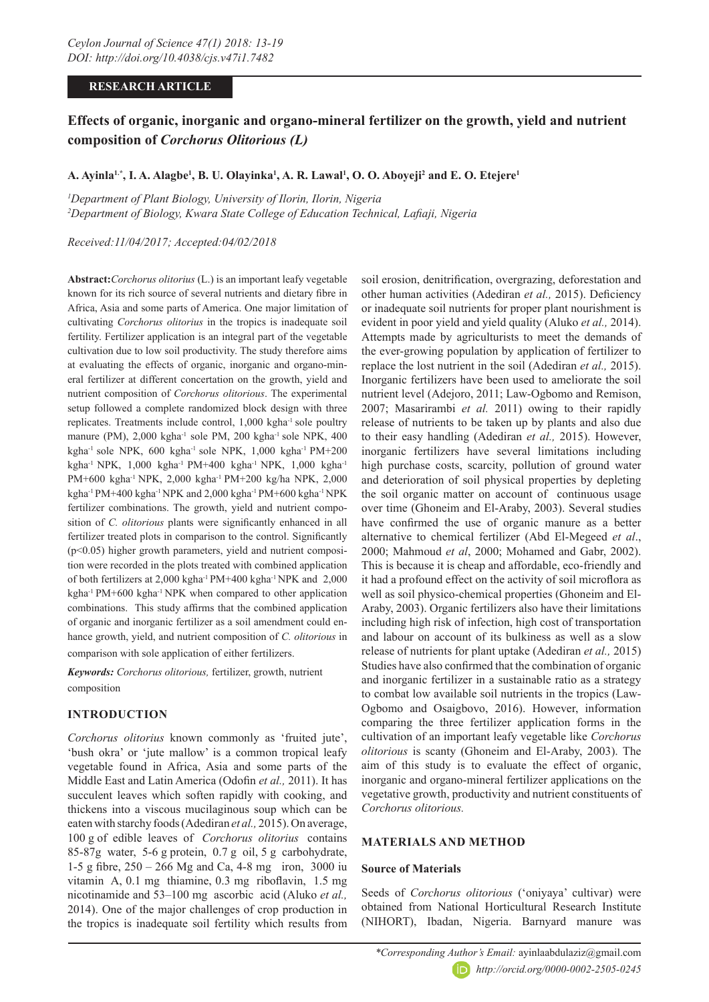# **RESEARCH ARTICLE**

# **Effects of organic, inorganic and organo-mineral fertilizer on the growth, yield and nutrient composition of** *Corchorus Olitorious (L)*

# A. Ayinla<sup>1.</sup>\*, I. A. Alagbe<sup>1</sup>, B. U. Olayinka<sup>1</sup>, A. R. Lawal<sup>1</sup>, O. O. Aboyeji<sup>2</sup> and E. O. Etejere<sup>1</sup>

*1 Department of Plant Biology, University of Ilorin, Ilorin, Nigeria 2 Department of Biology, Kwara State College of Education Technical, Lafiaji, Nigeria* 

*Received:11/04/2017; Accepted:04/02/2018*

**Abstract:***Corchorus olitorius* (L.) is an important leafy vegetable known for its rich source of several nutrients and dietary fibre in Africa, Asia and some parts of America. One major limitation of cultivating *Corchorus olitorius* in the tropics is inadequate soil fertility. Fertilizer application is an integral part of the vegetable cultivation due to low soil productivity. The study therefore aims at evaluating the effects of organic, inorganic and organo-mineral fertilizer at different concertation on the growth, yield and nutrient composition of *Corchorus olitorious*. The experimental setup followed a complete randomized block design with three replicates. Treatments include control, 1,000 kgha<sup>-1</sup> sole poultry manure (PM), 2,000 kgha<sup>-1</sup> sole PM, 200 kgha<sup>-1</sup> sole NPK, 400 kgha<sup>-1</sup> sole NPK, 600 kgha<sup>-1</sup> sole NPK, 1,000 kgha<sup>-1</sup> PM+200 kgha-1 NPK, 1,000 kgha-1 PM+400 kgha-1 NPK, 1,000 kgha-1 PM+600 kgha-1 NPK, 2,000 kgha-1 PM+200 kg/ha NPK, 2,000 kgha-1 PM+400 kgha-1 NPK and 2,000 kgha-1 PM+600 kgha-1 NPK fertilizer combinations. The growth, yield and nutrient composition of *C. olitorious* plants were significantly enhanced in all fertilizer treated plots in comparison to the control. Significantly (p<0.05) higher growth parameters, yield and nutrient composition were recorded in the plots treated with combined application of both fertilizers at 2,000 kgha-1 PM+400 kgha-1 NPK and 2,000 kgha-1 PM+600 kgha-1 NPK when compared to other application combinations. This study affirms that the combined application of organic and inorganic fertilizer as a soil amendment could enhance growth, yield, and nutrient composition of *C. olitorious* in

comparison with sole application of either fertilizers.

*Keywords: Corchorus olitorious,* fertilizer, growth, nutrient composition

# **INTRODUCTION**

*Corchorus olitorius* known commonly as 'fruited jute', 'bush okra' or 'jute mallow' is a common tropical leafy vegetable found in Africa, Asia and some parts of the Middle East and Latin America (Odofin *et al.,* 2011). It has succulent leaves which soften rapidly with cooking, and thickens into a viscous mucilaginous soup which can be eaten with starchy foods (Adediran *et al.,* 2015). On average, 100 g of edible leaves of *Corchorus olitorius* contains 85-87g water, 5-6 g protein, 0.7 g oil, 5 g carbohydrate, 1-5 g fibre, 250 – 266 Mg and Ca, 4-8 mg iron, 3000 iu vitamin A, 0.1 mg thiamine, 0.3 mg riboflavin, 1.5 mg nicotinamide and 53–100 mg ascorbic acid (Aluko *et al.,* 2014). One of the major challenges of crop production in the tropics is inadequate soil fertility which results from

soil erosion, denitrification, overgrazing, deforestation and other human activities (Adediran *et al.,* 2015). Deficiency or inadequate soil nutrients for proper plant nourishment is evident in poor yield and yield quality (Aluko *et al.,* 2014). Attempts made by agriculturists to meet the demands of the ever-growing population by application of fertilizer to replace the lost nutrient in the soil (Adediran *et al.,* 2015). Inorganic fertilizers have been used to ameliorate the soil nutrient level (Adejoro, 2011; Law-Ogbomo and Remison, 2007; Masarirambi *et al.* 2011) owing to their rapidly release of nutrients to be taken up by plants and also due to their easy handling (Adediran *et al.,* 2015). However, inorganic fertilizers have several limitations including high purchase costs, scarcity, pollution of ground water and deterioration of soil physical properties by depleting the soil organic matter on account of continuous usage over time (Ghoneim and El-Araby, 2003). Several studies have confirmed the use of organic manure as a better alternative to chemical fertilizer (Abd El-Megeed *et al*., 2000; Mahmoud *et al*, 2000; Mohamed and Gabr, 2002). This is because it is cheap and affordable, eco-friendly and it had a profound effect on the activity of soil microflora as well as soil physico-chemical properties (Ghoneim and El-Araby, 2003). Organic fertilizers also have their limitations including high risk of infection, high cost of transportation and labour on account of its bulkiness as well as a slow release of nutrients for plant uptake (Adediran *et al.,* 2015) Studies have also confirmed that the combination of organic and inorganic fertilizer in a sustainable ratio as a strategy to combat low available soil nutrients in the tropics (Law-Ogbomo and Osaigbovo, 2016). However, information comparing the three fertilizer application forms in the cultivation of an important leafy vegetable like *Corchorus olitorious* is scanty (Ghoneim and El-Araby, 2003). The aim of this study is to evaluate the effect of organic, inorganic and organo-mineral fertilizer applications on the vegetative growth, productivity and nutrient constituents of *Corchorus olitorious.*

# **MATERIALS AND METHOD**

## **Source of Materials**

Seeds of *Corchorus olitorious* ('oniyaya' cultivar) were obtained from National Horticultural Research Institute (NIHORT), Ibadan, Nigeria. Barnyard manure was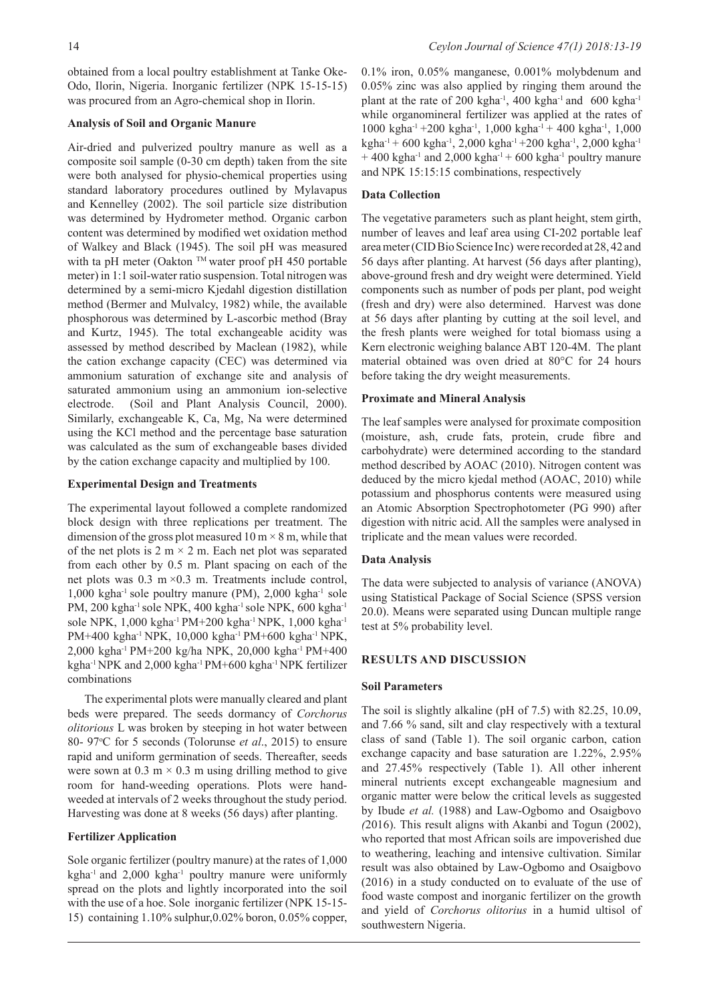obtained from a local poultry establishment at Tanke Oke-Odo, Ilorin, Nigeria. Inorganic fertilizer (NPK 15-15-15) was procured from an Agro-chemical shop in Ilorin.

# **Analysis of Soil and Organic Manure**

Air-dried and pulverized poultry manure as well as a composite soil sample (0-30 cm depth) taken from the site were both analysed for physio-chemical properties using standard laboratory procedures outlined by Mylavapus and Kennelley (2002). The soil particle size distribution was determined by Hydrometer method. Organic carbon content was determined by modified wet oxidation method of Walkey and Black (1945). The soil pH was measured with ta pH meter (Oakton  $TM$  water proof pH 450 portable meter) in 1:1 soil-water ratio suspension. Total nitrogen was determined by a semi-micro Kjedahl digestion distillation method (Bermer and Mulvalcy, 1982) while, the available phosphorous was determined by L-ascorbic method (Bray and Kurtz, 1945). The total exchangeable acidity was assessed by method described by Maclean (1982), while the cation exchange capacity (CEC) was determined via ammonium saturation of exchange site and analysis of saturated ammonium using an ammonium ion-selective electrode. (Soil and Plant Analysis Council, 2000). Similarly, exchangeable K, Ca, Mg, Na were determined using the KCl method and the percentage base saturation was calculated as the sum of exchangeable bases divided by the cation exchange capacity and multiplied by 100.

## **Experimental Design and Treatments**

The experimental layout followed a complete randomized block design with three replications per treatment. The dimension of the gross plot measured  $10 \text{ m} \times 8 \text{ m}$ , while that of the net plots is  $2 \text{ m} \times 2 \text{ m}$ . Each net plot was separated from each other by 0.5 m. Plant spacing on each of the net plots was  $0.3 \text{ m} \times 0.3 \text{ m}$ . Treatments include control,  $1,000$  kgha<sup>-1</sup> sole poultry manure (PM),  $2,000$  kgha<sup>-1</sup> sole PM, 200 kgha<sup>-1</sup> sole NPK, 400 kgha<sup>-1</sup> sole NPK, 600 kgha<sup>-1</sup> sole NPK, 1,000 kgha-1 PM+200 kgha-1 NPK, 1,000 kgha-1 PM+400 kgha-1 NPK, 10,000 kgha-1 PM+600 kgha-1 NPK, 2,000 kgha-1 PM+200 kg/ha NPK, 20,000 kgha-1 PM+400 kgha-1 NPK and 2,000 kgha-1 PM+600 kgha-1 NPK fertilizer combinations

The experimental plots were manually cleared and plant beds were prepared. The seeds dormancy of *Corchorus olitorious* L was broken by steeping in hot water between 80- 97o C for 5 seconds (Tolorunse *et al*., 2015) to ensure rapid and uniform germination of seeds. Thereafter, seeds were sown at  $0.3 \text{ m} \times 0.3 \text{ m}$  using drilling method to give room for hand-weeding operations. Plots were handweeded at intervals of 2 weeks throughout the study period. Harvesting was done at 8 weeks (56 days) after planting.

# **Fertilizer Application**

Sole organic fertilizer (poultry manure) at the rates of 1,000 kgha<sup>-1</sup> and 2,000 kgha<sup>-1</sup> poultry manure were uniformly spread on the plots and lightly incorporated into the soil with the use of a hoe. Sole inorganic fertilizer (NPK 15-15- 15) containing 1.10% sulphur,0.02% boron, 0.05% copper,

0.1% iron, 0.05% manganese, 0.001% molybdenum and 0.05% zinc was also applied by ringing them around the plant at the rate of 200 kgha<sup>-1</sup>, 400 kgha<sup>-1</sup> and 600 kgha<sup>-1</sup> while organomineral fertilizer was applied at the rates of 1000 kgha<sup>-1</sup> +200 kgha<sup>-1</sup>, 1,000 kgha<sup>-1</sup> + 400 kgha<sup>-1</sup>, 1,000 kgha-1 + 600 kgha-1, 2,000 kgha-1 +200 kgha-1, 2,000 kgha-1  $+$  400 kgha<sup>-1</sup> and 2,000 kgha<sup>-1</sup> + 600 kgha<sup>-1</sup> poultry manure and NPK 15:15:15 combinations, respectively

## **Data Collection**

The vegetative parameters such as plant height, stem girth, number of leaves and leaf area using CI-202 portable leaf area meter (CID Bio Science Inc) were recorded at 28, 42 and 56 days after planting. At harvest (56 days after planting), above-ground fresh and dry weight were determined. Yield components such as number of pods per plant, pod weight (fresh and dry) were also determined. Harvest was done at 56 days after planting by cutting at the soil level, and the fresh plants were weighed for total biomass using a Kern electronic weighing balance ABT 120-4M. The plant material obtained was oven dried at 80°C for 24 hours before taking the dry weight measurements.

## **Proximate and Mineral Analysis**

The leaf samples were analysed for proximate composition (moisture, ash, crude fats, protein, crude fibre and carbohydrate) were determined according to the standard method described by AOAC (2010). Nitrogen content was deduced by the micro kjedal method (AOAC, 2010) while potassium and phosphorus contents were measured using an Atomic Absorption Spectrophotometer (PG 990) after digestion with nitric acid. All the samples were analysed in triplicate and the mean values were recorded.

# **Data Analysis**

The data were subjected to analysis of variance (ANOVA) using Statistical Package of Social Science (SPSS version 20.0). Means were separated using Duncan multiple range test at 5% probability level.

# **RESULTS AND DISCUSSION**

## **Soil Parameters**

The soil is slightly alkaline (pH of 7.5) with 82.25, 10.09, and 7.66 % sand, silt and clay respectively with a textural class of sand (Table 1). The soil organic carbon, cation exchange capacity and base saturation are 1.22%, 2.95% and 27.45% respectively (Table 1). All other inherent mineral nutrients except exchangeable magnesium and organic matter were below the critical levels as suggested by Ibude *et al.* (1988) and Law-Ogbomo and Osaigbovo *(*2016). This result aligns with Akanbi and Togun (2002), who reported that most African soils are impoverished due to weathering, leaching and intensive cultivation. Similar result was also obtained by Law-Ogbomo and Osaigbovo (2016) in a study conducted on to evaluate of the use of food waste compost and inorganic fertilizer on the growth and yield of *Corchorus olitorius* in a humid ultisol of southwestern Nigeria.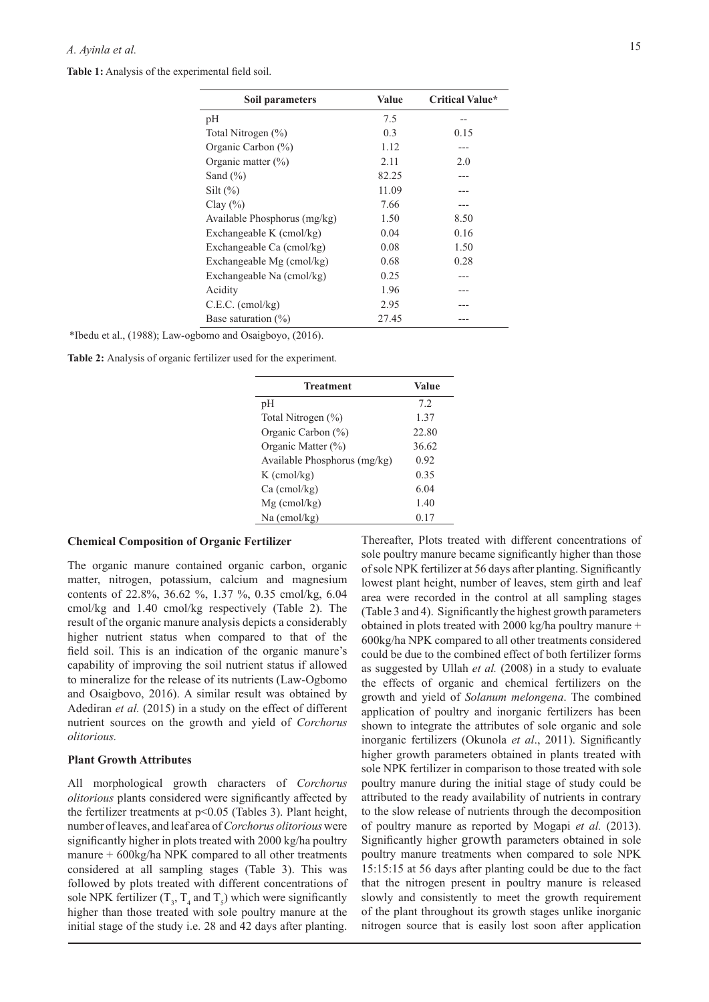**Table 1:** Analysis of the experimental field soil.

| Soil parameters              | Value | <b>Critical Value*</b> |
|------------------------------|-------|------------------------|
| рH                           | 7.5   | --                     |
| Total Nitrogen (%)           | 0.3   | 0.15                   |
| Organic Carbon (%)           | 1.12  |                        |
| Organic matter $(\% )$       | 2.11  | 2.0                    |
| Sand $(\% )$                 | 82.25 |                        |
| Silt $(\% )$                 | 11.09 |                        |
| Clay $(\% )$                 | 7.66  |                        |
| Available Phosphorus (mg/kg) | 1.50  | 8.50                   |
| Exchangeable K (cmol/kg)     | 0.04  | 0.16                   |
| Exchangeable Ca (cmol/kg)    | 0.08  | 1.50                   |
| Exchangeable Mg (cmol/kg)    | 0.68  | 0.28                   |
| Exchangeable Na (cmol/kg)    | 0.25  |                        |
| Acidity                      | 1.96  |                        |
| C.E.C. (cmol/kg)             | 2.95  |                        |
| Base saturation $(\%)$       | 27.45 |                        |
|                              |       |                        |

|  |  |  | *Ibedu et al., (1988); Law-ogbomo and Osaigboyo, (2016). |  |
|--|--|--|----------------------------------------------------------|--|
|--|--|--|----------------------------------------------------------|--|

|  |  | Table 2: Analysis of organic fertilizer used for the experiment. |  |  |  |  |
|--|--|------------------------------------------------------------------|--|--|--|--|
|  |  |                                                                  |  |  |  |  |

| <b>Treatment</b>             | Value |
|------------------------------|-------|
| pH                           | 72    |
| Total Nitrogen (%)           | 1.37  |
| Organic Carbon (%)           | 22.80 |
| Organic Matter (%)           | 36.62 |
| Available Phosphorus (mg/kg) | 0.92  |
| $K$ (cmol/kg)                | 0.35  |
| $Ca$ (cmol/kg)               | 6.04  |
| $Mg$ (cmol/kg)               | 1.40  |
| $Na$ (cmol/kg)               | 0.17  |

## **Chemical Composition of Organic Fertilizer**

The organic manure contained organic carbon, organic matter, nitrogen, potassium, calcium and magnesium contents of 22.8%, 36.62 %, 1.37 %, 0.35 cmol/kg, 6.04 cmol/kg and 1.40 cmol/kg respectively (Table 2). The result of the organic manure analysis depicts a considerably higher nutrient status when compared to that of the field soil. This is an indication of the organic manure's capability of improving the soil nutrient status if allowed to mineralize for the release of its nutrients (Law-Ogbomo and Osaigbovo, 2016). A similar result was obtained by Adediran *et al.* (2015) in a study on the effect of different nutrient sources on the growth and yield of *Corchorus olitorious.*

#### **Plant Growth Attributes**

All morphological growth characters of *Corchorus olitorious* plants considered were significantly affected by the fertilizer treatments at p<0.05 (Tables 3). Plant height, number of leaves, and leaf area of *Corchorus olitorious* were significantly higher in plots treated with 2000 kg/ha poultry manure + 600kg/ha NPK compared to all other treatments considered at all sampling stages (Table 3). This was followed by plots treated with different concentrations of sole NPK fertilizer  $(T_3, T_4$  and  $T_5)$  which were significantly higher than those treated with sole poultry manure at the initial stage of the study i.e. 28 and 42 days after planting.

Thereafter, Plots treated with different concentrations of sole poultry manure became significantly higher than those of sole NPK fertilizer at 56 days after planting. Significantly lowest plant height, number of leaves, stem girth and leaf area were recorded in the control at all sampling stages (Table 3 and 4). Significantly the highest growth parameters obtained in plots treated with 2000 kg/ha poultry manure + 600kg/ha NPK compared to all other treatments considered could be due to the combined effect of both fertilizer forms as suggested by Ullah *et al.* (2008) in a study to evaluate the effects of organic and chemical fertilizers on the growth and yield of *Solanum melongena*. The combined application of poultry and inorganic fertilizers has been shown to integrate the attributes of sole organic and sole inorganic fertilizers (Okunola *et al*., 2011). Significantly higher growth parameters obtained in plants treated with sole NPK fertilizer in comparison to those treated with sole poultry manure during the initial stage of study could be attributed to the ready availability of nutrients in contrary to the slow release of nutrients through the decomposition of poultry manure as reported by Mogapi *et al.* (2013). Significantly higher growth parameters obtained in sole poultry manure treatments when compared to sole NPK 15:15:15 at 56 days after planting could be due to the fact that the nitrogen present in poultry manure is released slowly and consistently to meet the growth requirement of the plant throughout its growth stages unlike inorganic nitrogen source that is easily lost soon after application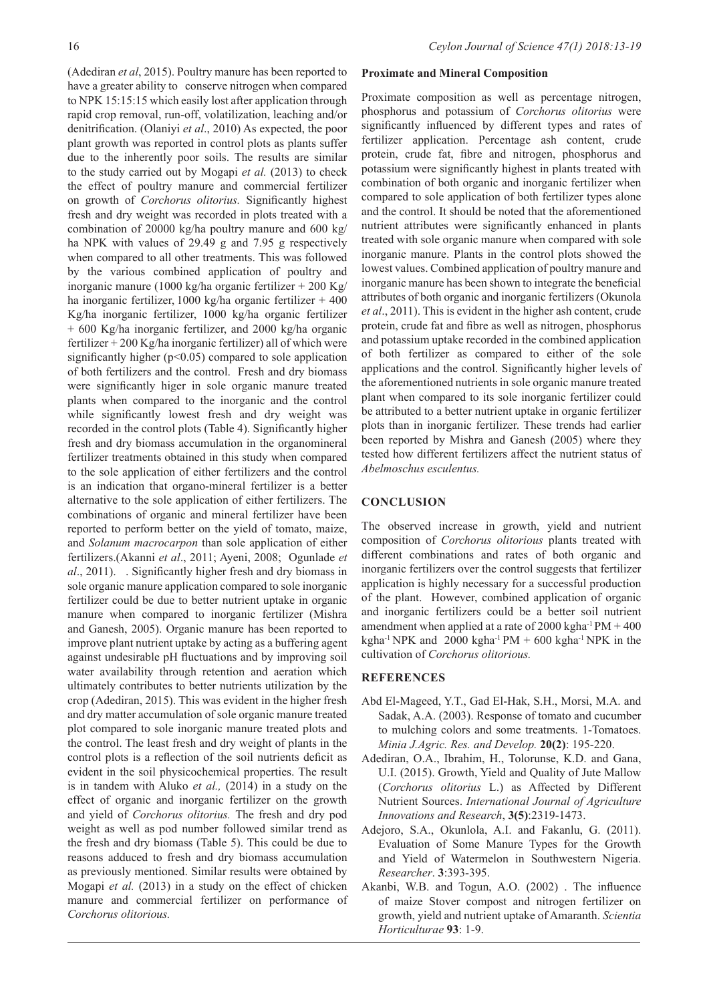(Adediran *et al*, 2015). Poultry manure has been reported to have a greater ability to conserve nitrogen when compared to NPK 15:15:15 which easily lost after application through rapid crop removal, run-off, volatilization, leaching and/or denitrification. (Olaniyi *et al*., 2010) As expected, the poor plant growth was reported in control plots as plants suffer due to the inherently poor soils. The results are similar to the study carried out by Mogapi *et al.* (2013) to check the effect of poultry manure and commercial fertilizer on growth of *Corchorus olitorius.* Significantly highest fresh and dry weight was recorded in plots treated with a combination of 20000 kg/ha poultry manure and 600 kg/ ha NPK with values of 29.49 g and 7.95 g respectively when compared to all other treatments. This was followed by the various combined application of poultry and inorganic manure (1000 kg/ha organic fertilizer + 200 Kg/ ha inorganic fertilizer, 1000 kg/ha organic fertilizer + 400 Kg/ha inorganic fertilizer, 1000 kg/ha organic fertilizer + 600 Kg/ha inorganic fertilizer, and 2000 kg/ha organic fertilizer + 200 Kg/ha inorganic fertilizer) all of which were significantly higher ( $p<0.05$ ) compared to sole application of both fertilizers and the control. Fresh and dry biomass were significantly higer in sole organic manure treated plants when compared to the inorganic and the control while significantly lowest fresh and dry weight was recorded in the control plots (Table 4). Significantly higher fresh and dry biomass accumulation in the organomineral fertilizer treatments obtained in this study when compared to the sole application of either fertilizers and the control is an indication that organo-mineral fertilizer is a better alternative to the sole application of either fertilizers. The combinations of organic and mineral fertilizer have been reported to perform better on the yield of tomato, maize, and *Solanum macrocarpon* than sole application of either fertilizers.(Akanni *et al*., 2011; Ayeni, 2008; Ogunlade *et al*., 2011). . Significantly higher fresh and dry biomass in sole organic manure application compared to sole inorganic fertilizer could be due to better nutrient uptake in organic manure when compared to inorganic fertilizer (Mishra and Ganesh, 2005). Organic manure has been reported to improve plant nutrient uptake by acting as a buffering agent against undesirable pH fluctuations and by improving soil water availability through retention and aeration which ultimately contributes to better nutrients utilization by the crop (Adediran, 2015). This was evident in the higher fresh and dry matter accumulation of sole organic manure treated plot compared to sole inorganic manure treated plots and the control. The least fresh and dry weight of plants in the control plots is a reflection of the soil nutrients deficit as evident in the soil physicochemical properties. The result is in tandem with Aluko *et al.,* (2014) in a study on the effect of organic and inorganic fertilizer on the growth and yield of *Corchorus olitorius.* The fresh and dry pod weight as well as pod number followed similar trend as the fresh and dry biomass (Table 5). This could be due to reasons adduced to fresh and dry biomass accumulation as previously mentioned. Similar results were obtained by Mogapi *et al.* (2013) in a study on the effect of chicken manure and commercial fertilizer on performance of

*Corchorus olitorious.*

#### **Proximate and Mineral Composition**

Proximate composition as well as percentage nitrogen, phosphorus and potassium of *Corchorus olitorius* were significantly influenced by different types and rates of fertilizer application. Percentage ash content, crude protein, crude fat, fibre and nitrogen, phosphorus and potassium were significantly highest in plants treated with combination of both organic and inorganic fertilizer when compared to sole application of both fertilizer types alone and the control. It should be noted that the aforementioned nutrient attributes were significantly enhanced in plants treated with sole organic manure when compared with sole inorganic manure. Plants in the control plots showed the lowest values. Combined application of poultry manure and inorganic manure has been shown to integrate the beneficial attributes of both organic and inorganic fertilizers (Okunola *et al*., 2011). This is evident in the higher ash content, crude protein, crude fat and fibre as well as nitrogen, phosphorus and potassium uptake recorded in the combined application of both fertilizer as compared to either of the sole applications and the control. Significantly higher levels of the aforementioned nutrients in sole organic manure treated plant when compared to its sole inorganic fertilizer could be attributed to a better nutrient uptake in organic fertilizer plots than in inorganic fertilizer. These trends had earlier been reported by Mishra and Ganesh (2005) where they tested how different fertilizers affect the nutrient status of *Abelmoschus esculentus.*

## **CONCLUSION**

The observed increase in growth, yield and nutrient composition of *Corchorus olitorious* plants treated with different combinations and rates of both organic and inorganic fertilizers over the control suggests that fertilizer application is highly necessary for a successful production of the plant. However, combined application of organic and inorganic fertilizers could be a better soil nutrient amendment when applied at a rate of  $2000 \text{ kgha}^{-1} \text{PM} + 400$ kgha<sup>-1</sup> NPK and 2000 kgha<sup>-1</sup> PM  $+$  600 kgha<sup>-1</sup> NPK in the cultivation of *Corchorus olitorious.*

## **REFERENCES**

- Abd El-Mageed, Y.T., Gad El-Hak, S.H., Morsi, M.A. and Sadak, A.A. (2003). Response of tomato and cucumber to mulching colors and some treatments. 1-Tomatoes. *Minia J.Agric. Res. and Develop.* **20(2)**: 195-220.
- Adediran, O.A., Ibrahim, H., Tolorunse, K.D. and Gana, U.I. (2015). Growth, Yield and Quality of Jute Mallow (*Corchorus olitorius* L.) as Affected by Different Nutrient Sources. *International Journal of Agriculture Innovations and Research*, **3(5)**:2319-1473.
- Adejoro, S.A., Okunlola, A.I. and Fakanlu, G. (2011). Evaluation of Some Manure Types for the Growth and Yield of Watermelon in Southwestern Nigeria. *Researcher*. **3**:393-395.
- Akanbi, W.B. and Togun, A.O. (2002) . The influence of maize Stover compost and nitrogen fertilizer on growth, yield and nutrient uptake of Amaranth. *Scientia Horticulturae* **93**: 1-9.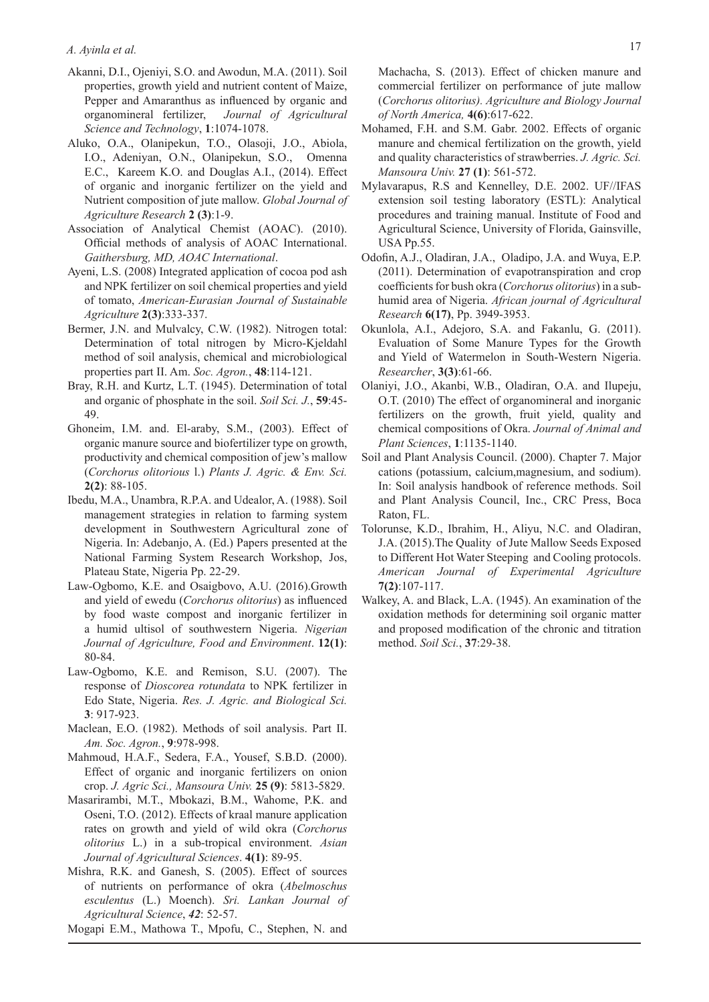- Akanni, D.I., Ojeniyi, S.O. and Awodun, M.A. (2011). Soil properties, growth yield and nutrient content of Maize, Pepper and Amaranthus as influenced by organic and organomineral fertilizer, *Journal of Agricultural Science and Technology*, **1**:1074-1078.
- Aluko, O.A., Olanipekun, T.O., Olasoji, J.O., Abiola, I.O., Adeniyan, O.N., Olanipekun, S.O., Omenna E.C., Kareem K.O. and Douglas A.I., (2014). Effect of organic and inorganic fertilizer on the yield and Nutrient composition of jute mallow. *Global Journal of Agriculture Research* **2 (3)**:1-9.
- Association of Analytical Chemist (AOAC). (2010). Official methods of analysis of AOAC International. *Gaithersburg, MD, AOAC International*.
- Ayeni, L.S. (2008) Integrated application of cocoa pod ash and NPK fertilizer on soil chemical properties and yield of tomato, *American-Eurasian Journal of Sustainable Agriculture* **2(3)**:333-337.
- Bermer, J.N. and Mulvalcy, C.W. (1982). Nitrogen total: Determination of total nitrogen by Micro-Kjeldahl method of soil analysis, chemical and microbiological properties part II. Am. *Soc. Agron.*, **48**:114-121.
- Bray, R.H. and Kurtz, L.T. (1945). Determination of total and organic of phosphate in the soil. *Soil Sci. J.*, **59**:45- 49.
- Ghoneim, I.M. and. El-araby, S.M., (2003). Effect of organic manure source and biofertilizer type on growth, productivity and chemical composition of jew's mallow (*Corchorus olitorious* l.) *Plants J. Agric. & Env. Sci.* **2(2)**: 88-105.
- Ibedu, M.A., Unambra, R.P.A. and Udealor, A. (1988). Soil management strategies in relation to farming system development in Southwestern Agricultural zone of Nigeria. In: Adebanjo, A. (Ed.) Papers presented at the National Farming System Research Workshop, Jos, Plateau State, Nigeria Pp. 22-29.
- Law-Ogbomo, K.E. and Osaigbovo, A.U. (2016).Growth and yield of ewedu (*Corchorus olitorius*) as influenced by food waste compost and inorganic fertilizer in a humid ultisol of southwestern Nigeria. *Nigerian Journal of Agriculture, Food and Environment*. **12(1)**: 80-84.
- Law-Ogbomo, K.E. and Remison, S.U. (2007). The response of *Dioscorea rotundata* to NPK fertilizer in Edo State, Nigeria. *Res. J. Agric. and Biological Sci.* **3**: 917-923.
- Maclean, E.O. (1982). Methods of soil analysis. Part II. *Am. Soc. Agron.*, **9**:978-998.
- Mahmoud, H.A.F., Sedera, F.A., Yousef, S.B.D. (2000). Effect of organic and inorganic fertilizers on onion crop. *J. Agric Sci., Mansoura Univ.* **25 (9)**: 5813-5829.
- Masarirambi, M.T., Mbokazi, B.M., Wahome, P.K. and Oseni, T.O. (2012). Effects of kraal manure application rates on growth and yield of wild okra (*Corchorus olitorius* L.) in a sub-tropical environment. *Asian Journal of Agricultural Sciences*. **4(1)**: 89-95.
- Mishra, R.K. and Ganesh, S. (2005). Effect of sources of nutrients on performance of okra (*Abelmoschus esculentus* (L.) Moench). *Sri. Lankan Journal of Agricultural Science*, *42*: 52-57.
- Mogapi E.M., Mathowa T., Mpofu, C., Stephen, N. and

Machacha, S. (2013). Effect of chicken manure and commercial fertilizer on performance of jute mallow (*Corchorus olitorius). Agriculture and Biology Journal of North America,* **4(6)**:617-622.

- Mohamed, F.H. and S.M. Gabr. 2002. Effects of organic manure and chemical fertilization on the growth, yield and quality characteristics of strawberries. *J. Agric. Sci. Mansoura Univ.* **27 (1)**: 561-572.
- Mylavarapus, R.S and Kennelley, D.E. 2002. UF//IFAS extension soil testing laboratory (ESTL): Analytical procedures and training manual. Institute of Food and Agricultural Science, University of Florida, Gainsville, USA Pp.55.
- Odofin, A.J., Oladiran, J.A., Oladipo, J.A. and Wuya, E.P. (2011). Determination of evapotranspiration and crop coefficients for bush okra (*Corchorus olitorius*) in a subhumid area of Nigeria. *African journal of Agricultural Research* **6(17)**, Pp. 3949-3953.
- Okunlola, A.I., Adejoro, S.A. and Fakanlu, G. (2011). Evaluation of Some Manure Types for the Growth and Yield of Watermelon in South-Western Nigeria. *Researcher*, **3(3)**:61-66.
- Olaniyi, J.O., Akanbi, W.B., Oladiran, O.A. and Ilupeju, O.T. (2010) The effect of organomineral and inorganic fertilizers on the growth, fruit yield, quality and chemical compositions of Okra. *Journal of Animal and Plant Sciences*, **1**:1135-1140.
- Soil and Plant Analysis Council. (2000). Chapter 7. Major cations (potassium, calcium,magnesium, and sodium). In: Soil analysis handbook of reference methods. Soil and Plant Analysis Council, Inc., CRC Press, Boca Raton, FL.
- Tolorunse, K.D., Ibrahim, H., Aliyu, N.C. and Oladiran, J.A. (2015).The Quality of Jute Mallow Seeds Exposed to Different Hot Water Steeping and Cooling protocols. *American Journal of Experimental Agriculture*  **7(2)**:107-117.
- Walkey, A. and Black, L.A. (1945). An examination of the oxidation methods for determining soil organic matter and proposed modification of the chronic and titration method. *Soil Sci.*, **37**:29-38.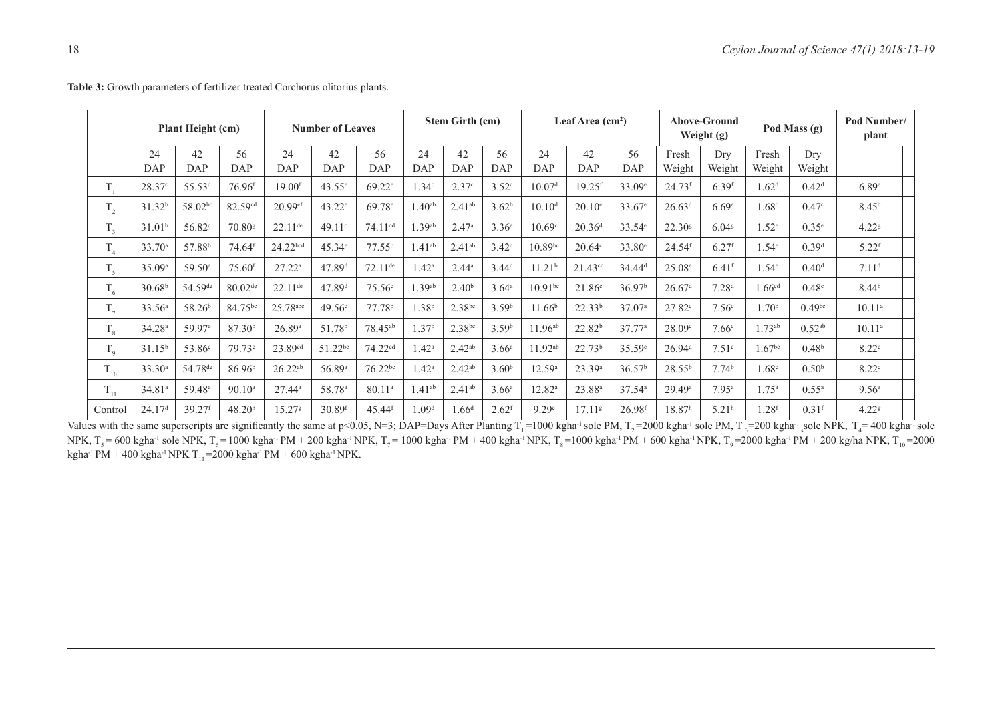| <b>Plant Height (cm)</b> |                    | <b>Number of Leaves</b> |                      | Stem Girth (cm)       |                    | Leaf Area $(cm2)$     |                   |                   | <b>Above-Ground</b><br>Weight $(g)$ |                    | Pod Mass (g)         |                    | Pod Number/<br>plant |                     |                    |                    |                     |
|--------------------------|--------------------|-------------------------|----------------------|-----------------------|--------------------|-----------------------|-------------------|-------------------|-------------------------------------|--------------------|----------------------|--------------------|----------------------|---------------------|--------------------|--------------------|---------------------|
|                          | 24<br>DAP          | 42<br>DAP               | 56<br>DAP            | 24<br>DAP             | 42<br><b>DAP</b>   | 56<br>DAP             | 24<br>DAP         | 42<br>DAP         | 56<br>DAP                           | 24<br><b>DAP</b>   | 42<br>DAP            | 56<br><b>DAP</b>   | Fresh<br>Weight      | Dry<br>Weight       | Fresh<br>Weight    | Dry<br>Weight      |                     |
| $T_{1}$                  | 28.37c             | 55.53 <sup>d</sup>      | $76.96$ <sup>f</sup> | $19.00$ f             | $43.55^{\circ}$    | $69.22^{\circ}$       | $1.34^\circ$      | 2.37c             | $3.52^{\circ}$                      | 10.07 <sup>d</sup> | $19.25$ <sup>f</sup> | $33.09^e$          | $24.73$ f            | $6.39$ <sup>f</sup> | 1.62 <sup>d</sup>  | 0.42 <sup>d</sup>  | 6.89 <sup>e</sup>   |
| T.<br>$\mathbf{1}_{2}$   | 31.32 <sup>b</sup> | 58.02bc                 | 82.59cd              | 20.99ef               | $43.22^e$          | 69.78 <sup>e</sup>    | .40 <sup>ab</sup> | $2.41^{ab}$       | 3.62 <sup>b</sup>                   | 10.10 <sup>d</sup> | $20.10^{\circ}$      | 33.67 <sup>e</sup> | 26.63 <sup>d</sup>   | 6.69 <sup>e</sup>   | 1.68 <sup>c</sup>  | 0.47 <sup>c</sup>  | 8.45 <sup>b</sup>   |
| T.<br>$\mathbf{1}_{3}$   | 31.01 <sup>b</sup> | 56.82 <sup>c</sup>      | 70.80 <sup>g</sup>   | $22.11$ <sup>de</sup> | 49.11c             | 74.11 <sup>cd</sup>   | .39 <sup>ab</sup> | 2.47a             | $3.36^{\circ}$                      | 10.69 <sup>c</sup> | 20.36 <sup>d</sup>   | 33.54 <sup>e</sup> | 22.30 <sup>8</sup>   | $6.04$ <sup>g</sup> | 1.52 <sup>e</sup>  | 0.35 <sup>e</sup>  | 4.22 <sup>8</sup>   |
| $T_{4}$                  | 33.70a             | 57.88 <sup>b</sup>      | 74.64 <sup>f</sup>   | 24.22bcd              | $45.34^e$          | $77.55^{b}$           | $1.41^{ab}$       | $2.41^{ab}$       | 3.42 <sup>d</sup>                   | $10.89^{bc}$       | $20.64^{\circ}$      | 33.80 <sup>e</sup> | $24.54$ <sup>f</sup> | $6.27$ f            | 1.54 <sup>e</sup>  | 0.39 <sup>d</sup>  | $5.22$ <sup>f</sup> |
| $T_5$                    | 35.09a             | 59.50 <sup>a</sup>      | $75.60$ <sup>f</sup> | $27.22^a$             | 47.89 <sup>d</sup> | $72.11$ <sup>de</sup> | $1.42^{\circ}$    | $2.44^a$          | 3.44 <sup>d</sup>                   | 11.21 <sup>b</sup> | $21.43^{cd}$         | $34.44^d$          | $25.08^{\circ}$      | $6.41$ <sup>f</sup> | 1.54 <sup>e</sup>  | 0.40 <sup>d</sup>  | 7.11 <sup>d</sup>   |
| $T_{6}$                  | 30.68 <sup>b</sup> | 54.59de                 | $80.02^{de}$         | $22.11$ <sup>de</sup> | 47.89 <sup>d</sup> | 75.56c                | .39 <sup>ab</sup> | 2.40 <sup>b</sup> | $3.64^{\circ}$                      | $10.91^{bc}$       | 21.86c               | 36.97 <sup>b</sup> | 26.67 <sup>d</sup>   | 7.28 <sup>d</sup>   | 1.66 <sup>cd</sup> | 0.48 <sup>c</sup>  | 8.44 <sup>b</sup>   |
| $T_{7}$                  | 33.56 <sup>a</sup> | 58.26 <sup>b</sup>      | 84.75bc              | 25.78abc              | 49.56c             | 77.78 <sup>b</sup>    | 1.38 <sup>b</sup> | 2.38bc            | 3.59 <sup>b</sup>                   | 11.66 <sup>b</sup> | 22.33 <sup>b</sup>   | 37.07a             | 27.82c               | 7.56 <sup>c</sup>   | 1.70 <sup>b</sup>  | 0.49 <sup>bc</sup> | $10.11^{a}$         |
| $T_{8}$                  | 34.28a             | 59.97 <sup>a</sup>      | 87.30 <sup>b</sup>   | 26.89a                | 51.78 <sup>b</sup> | 78.45 <sup>ab</sup>   | 1.37 <sup>b</sup> | 2.38bc            | 3.59 <sup>b</sup>                   | $11.96^{ab}$       | 22.82 <sup>b</sup>   | 37.77a             | 28.09°               | 7.66 <sup>c</sup>   | $1.73^{ab}$        | $0.52^{ab}$        | $10.11^{a}$         |
| $T_{\rm o}$              | 31.15 <sup>b</sup> | 53.86 <sup>e</sup>      | 79.73 <sup>e</sup>   | 23.89cd               | $51.22^{bc}$       | 74.22cd               | .42 <sup>a</sup>  | $2.42^{ab}$       | 3.66 <sup>a</sup>                   | $11.92^{ab}$       | 22.73 <sup>b</sup>   | 35.59c             | 26.94 <sup>d</sup>   | 7.51 <sup>c</sup>   | 1.67 <sup>bc</sup> | 0.48 <sup>b</sup>  | 8.22 <sup>c</sup>   |
| $\rm T_{10}$             | 33.30a             | 54.78 <sup>de</sup>     | 86.96 <sup>b</sup>   | $26.22^{ab}$          | 56.89 <sup>a</sup> | $76.22^{bc}$          | 1.42 <sup>a</sup> | $2.42^{ab}$       | 3.60 <sup>b</sup>                   | 12.59a             | 23.39 <sup>a</sup>   | 36.57 <sup>b</sup> | $28.55^{b}$          | 7.74 <sup>b</sup>   | 1.68 <sup>c</sup>  | 0.50 <sup>b</sup>  | 8.22 <sup>c</sup>   |
| $T_{11}$                 | 34.81ª             | 59.48 <sup>a</sup>      | $90.10^a$            | $27.44^a$             | 58.78 <sup>a</sup> | $80.11^{a}$           | $1.41^{ab}$       | $2.41^{ab}$       | 3.66 <sup>a</sup>                   | $12.82^{\rm a}$    | $23.88^{a}$          | 37.54a             | 29.49a               | $7.95^{\rm a}$      | $1.75^{\circ}$     | $0.55^{\rm a}$     | 9.56 <sup>a</sup>   |
| Control                  | 24.17 <sup>d</sup> | $39.27$ f               | 48.20 <sup>h</sup>   | 15.27 <sup>g</sup>    | 30.89f             | 45.44 <sup>f</sup>    | 1.09 <sup>d</sup> | 1.66 <sup>d</sup> | $2.62$ <sup>f</sup>                 | 9.29 <sup>e</sup>  | 17.11 <sup>g</sup>   | 26.98f             | 18.87 <sup>h</sup>   | 5.21 <sup>h</sup>   | $1.28$ f           | $0.31$ f           | 4.22 <sup>8</sup>   |

Table 3: Growth parameters of fertilizer treated Corchorus olitorius plants.

Values with the same superscripts are significantly the same at p<0.05, N=3; DAP=Days After Planting T<sub>1</sub>=1000 kgha<sup>-1</sup> sole PM, T<sub>2</sub>=2000 kgha<sup>-1</sup> sole PM, T<sub>3</sub>=200 kgha<sup>-1</sup> sole NPK, T<sub>4</sub>=400 kgha<sup>-1</sup> sole NPK,  $T_s$  = 600 kgha<sup>-1</sup> sole NPK,  $T_s$  = 1000 kgha<sup>-1</sup> PM + 200 kgha<sup>-1</sup> NPK,  $T_s$  = 1000 kgha<sup>-1</sup> PM + 400 kgha<sup>-1</sup> NPK,  $T_s$  = 1000 kgha<sup>-1</sup> PM + 600 kgha<sup>-1</sup> NPK,  $T_o$  = 2000 kgha<sup>-1</sup> PM + 200 kg/ha NPK,  $T_{10}$  = 200 kgha<sup>-1</sup> PM + 400 kgha<sup>-1</sup> NPK T<sub>11</sub>=2000 kgha<sup>-1</sup> PM + 600 kgha<sup>-1</sup> NPK.